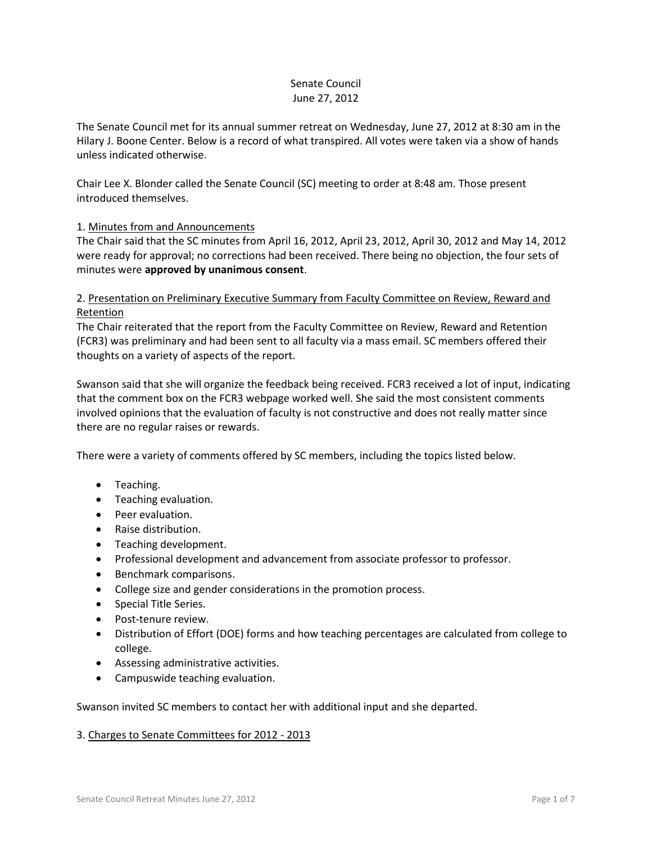# Senate Council June 27, 2012

The Senate Council met for its annual summer retreat on Wednesday, June 27, 2012 at 8:30 am in the Hilary J. Boone Center. Below is a record of what transpired. All votes were taken via a show of hands unless indicated otherwise.

Chair Lee X. Blonder called the Senate Council (SC) meeting to order at 8:48 am. Those present introduced themselves.

# 1. Minutes from and Announcements

The Chair said that the SC minutes from April 16, 2012, April 23, 2012, April 30, 2012 and May 14, 2012 were ready for approval; no corrections had been received. There being no objection, the four sets of minutes were **approved by unanimous consent**.

# 2. Presentation on Preliminary Executive Summary from Faculty Committee on Review, Reward and Retention

The Chair reiterated that the report from the Faculty Committee on Review, Reward and Retention (FCR3) was preliminary and had been sent to all faculty via a mass email. SC members offered their thoughts on a variety of aspects of the report.

Swanson said that she will organize the feedback being received. FCR3 received a lot of input, indicating that the comment box on the FCR3 webpage worked well. She said the most consistent comments involved opinions that the evaluation of faculty is not constructive and does not really matter since there are no regular raises or rewards.

There were a variety of comments offered by SC members, including the topics listed below.

- Teaching.
- Teaching evaluation.
- Peer evaluation.
- Raise distribution.
- Teaching development.
- Professional development and advancement from associate professor to professor.
- **•** Benchmark comparisons.
- College size and gender considerations in the promotion process.
- Special Title Series.
- Post-tenure review.
- Distribution of Effort (DOE) forms and how teaching percentages are calculated from college to college.
- Assessing administrative activities.
- Campuswide teaching evaluation.

Swanson invited SC members to contact her with additional input and she departed.

# 3. Charges to Senate Committees for 2012 - 2013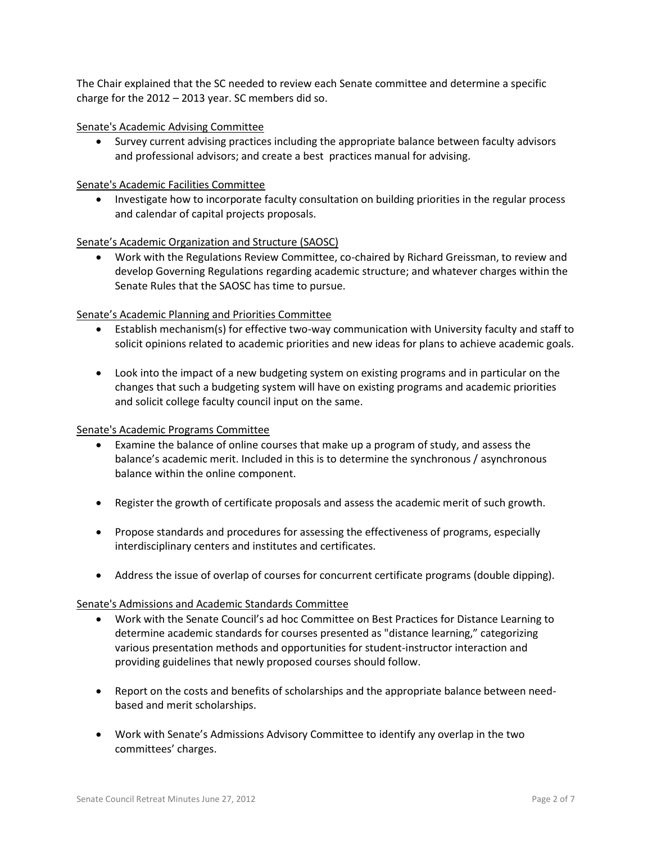The Chair explained that the SC needed to review each Senate committee and determine a specific charge for the 2012 – 2013 year. SC members did so.

#### Senate's Academic Advising Committee

 Survey current advising practices including the appropriate balance between faculty advisors and professional advisors; and create a best practices manual for advising.

### Senate's Academic Facilities Committee

• Investigate how to incorporate faculty consultation on building priorities in the regular process and calendar of capital projects proposals.

### Senate's Academic Organization and Structure (SAOSC)

 Work with the Regulations Review Committee, co-chaired by Richard Greissman, to review and develop Governing Regulations regarding academic structure; and whatever charges within the Senate Rules that the SAOSC has time to pursue.

### Senate's Academic Planning and Priorities Committee

- Establish mechanism(s) for effective two-way communication with University faculty and staff to solicit opinions related to academic priorities and new ideas for plans to achieve academic goals.
- Look into the impact of a new budgeting system on existing programs and in particular on the changes that such a budgeting system will have on existing programs and academic priorities and solicit college faculty council input on the same.

#### Senate's Academic Programs Committee

- Examine the balance of online courses that make up a program of study, and assess the balance's academic merit. Included in this is to determine the synchronous / asynchronous balance within the online component.
- Register the growth of certificate proposals and assess the academic merit of such growth.
- Propose standards and procedures for assessing the effectiveness of programs, especially interdisciplinary centers and institutes and certificates.
- Address the issue of overlap of courses for concurrent certificate programs (double dipping).

#### Senate's Admissions and Academic Standards Committee

- Work with the Senate Council's ad hoc Committee on Best Practices for Distance Learning to determine academic standards for courses presented as "distance learning," categorizing various presentation methods and opportunities for student-instructor interaction and providing guidelines that newly proposed courses should follow.
- Report on the costs and benefits of scholarships and the appropriate balance between needbased and merit scholarships.
- Work with Senate's Admissions Advisory Committee to identify any overlap in the two committees' charges.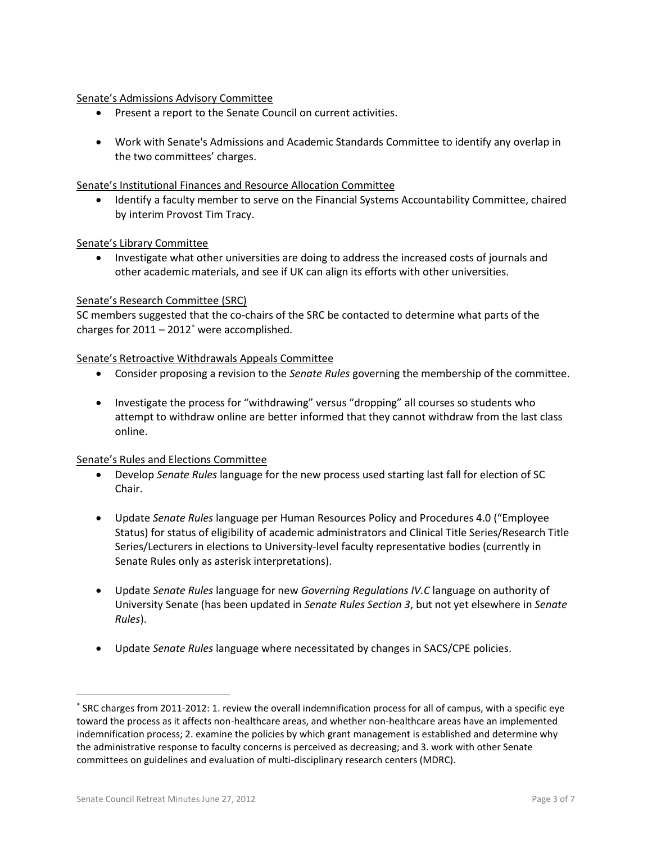### Senate's Admissions Advisory Committee

- Present a report to the Senate Council on current activities.
- Work with Senate's Admissions and Academic Standards Committee to identify any overlap in the two committees' charges.

### Senate's Institutional Finances and Resource Allocation Committee

 Identify a faculty member to serve on the Financial Systems Accountability Committee, chaired by interim Provost Tim Tracy.

### Senate's Library Committee

 Investigate what other universities are doing to address the increased costs of journals and other academic materials, and see if UK can align its efforts with other universities.

### Senate's Research Committee (SRC)

SC members suggested that the co-chairs of the SRC be contacted to determine what parts of the charges for  $2011 - 2012$ <sup>\*</sup> were accomplished.

### Senate's Retroactive Withdrawals Appeals Committee

- Consider proposing a revision to the *Senate Rules* governing the membership of the committee.
- Investigate the process for "withdrawing" versus "dropping" all courses so students who attempt to withdraw online are better informed that they cannot withdraw from the last class online.

#### Senate's Rules and Elections Committee

- Develop *Senate Rules* language for the new process used starting last fall for election of SC Chair.
- Update *Senate Rules* language per Human Resources Policy and Procedures 4.0 ("Employee Status) for status of eligibility of academic administrators and Clinical Title Series/Research Title Series/Lecturers in elections to University-level faculty representative bodies (currently in Senate Rules only as asterisk interpretations).
- Update *Senate Rules* language for new *Governing Regulations IV.C* language on authority of University Senate (has been updated in *Senate Rules Section 3*, but not yet elsewhere in *Senate Rules*).
- Update *Senate Rules* language where necessitated by changes in SACS/CPE policies.

 $\overline{a}$ 

SRC charges from 2011-2012: 1. review the overall indemnification process for all of campus, with a specific eye toward the process as it affects non-healthcare areas, and whether non-healthcare areas have an implemented indemnification process; 2. examine the policies by which grant management is established and determine why the administrative response to faculty concerns is perceived as decreasing; and 3. work with other Senate committees on guidelines and evaluation of multi-disciplinary research centers (MDRC).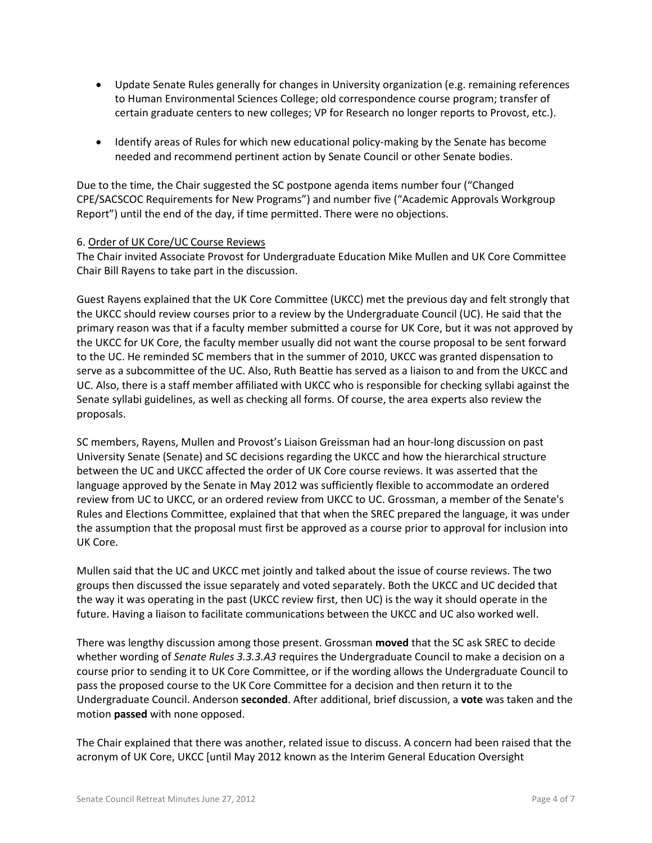- Update Senate Rules generally for changes in University organization (e.g. remaining references to Human Environmental Sciences College; old correspondence course program; transfer of certain graduate centers to new colleges; VP for Research no longer reports to Provost, etc.).
- Identify areas of Rules for which new educational policy-making by the Senate has become needed and recommend pertinent action by Senate Council or other Senate bodies.

Due to the time, the Chair suggested the SC postpone agenda items number four ("Changed CPE/SACSCOC Requirements for New Programs") and number five ("Academic Approvals Workgroup Report") until the end of the day, if time permitted. There were no objections.

# 6. Order of UK Core/UC Course Reviews

The Chair invited Associate Provost for Undergraduate Education Mike Mullen and UK Core Committee Chair Bill Rayens to take part in the discussion.

Guest Rayens explained that the UK Core Committee (UKCC) met the previous day and felt strongly that the UKCC should review courses prior to a review by the Undergraduate Council (UC). He said that the primary reason was that if a faculty member submitted a course for UK Core, but it was not approved by the UKCC for UK Core, the faculty member usually did not want the course proposal to be sent forward to the UC. He reminded SC members that in the summer of 2010, UKCC was granted dispensation to serve as a subcommittee of the UC. Also, Ruth Beattie has served as a liaison to and from the UKCC and UC. Also, there is a staff member affiliated with UKCC who is responsible for checking syllabi against the Senate syllabi guidelines, as well as checking all forms. Of course, the area experts also review the proposals.

SC members, Rayens, Mullen and Provost's Liaison Greissman had an hour-long discussion on past University Senate (Senate) and SC decisions regarding the UKCC and how the hierarchical structure between the UC and UKCC affected the order of UK Core course reviews. It was asserted that the language approved by the Senate in May 2012 was sufficiently flexible to accommodate an ordered review from UC to UKCC, or an ordered review from UKCC to UC. Grossman, a member of the Senate's Rules and Elections Committee, explained that that when the SREC prepared the language, it was under the assumption that the proposal must first be approved as a course prior to approval for inclusion into UK Core.

Mullen said that the UC and UKCC met jointly and talked about the issue of course reviews. The two groups then discussed the issue separately and voted separately. Both the UKCC and UC decided that the way it was operating in the past (UKCC review first, then UC) is the way it should operate in the future. Having a liaison to facilitate communications between the UKCC and UC also worked well.

There was lengthy discussion among those present. Grossman **moved** that the SC ask SREC to decide whether wording of *Senate Rules 3.3.3.A3* requires the Undergraduate Council to make a decision on a course prior to sending it to UK Core Committee, or if the wording allows the Undergraduate Council to pass the proposed course to the UK Core Committee for a decision and then return it to the Undergraduate Council. Anderson **seconded**. After additional, brief discussion, a **vote** was taken and the motion **passed** with none opposed.

The Chair explained that there was another, related issue to discuss. A concern had been raised that the acronym of UK Core, UKCC [until May 2012 known as the Interim General Education Oversight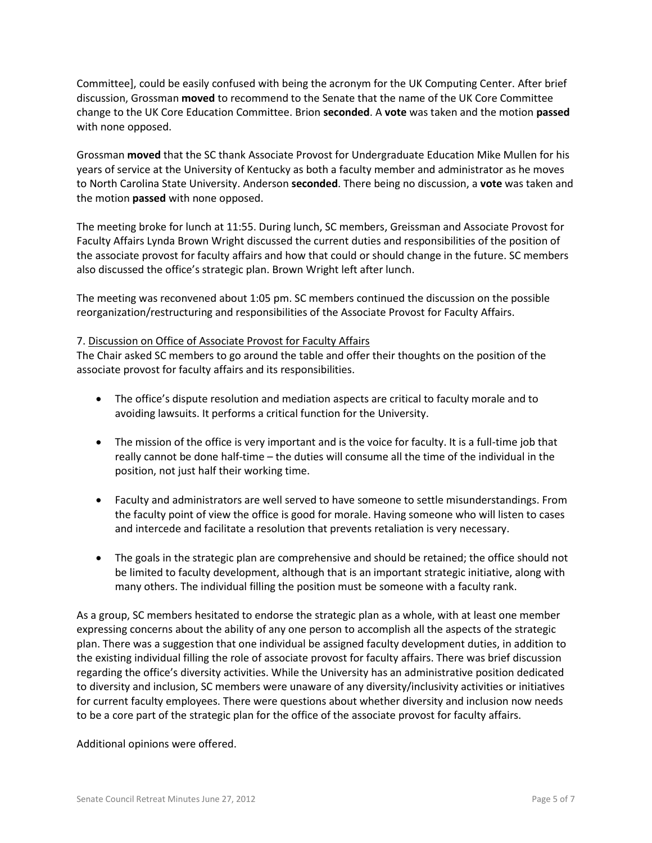Committee], could be easily confused with being the acronym for the UK Computing Center. After brief discussion, Grossman **moved** to recommend to the Senate that the name of the UK Core Committee change to the UK Core Education Committee. Brion **seconded**. A **vote** was taken and the motion **passed** with none opposed.

Grossman **moved** that the SC thank Associate Provost for Undergraduate Education Mike Mullen for his years of service at the University of Kentucky as both a faculty member and administrator as he moves to North Carolina State University. Anderson **seconded**. There being no discussion, a **vote** was taken and the motion **passed** with none opposed.

The meeting broke for lunch at 11:55. During lunch, SC members, Greissman and Associate Provost for Faculty Affairs Lynda Brown Wright discussed the current duties and responsibilities of the position of the associate provost for faculty affairs and how that could or should change in the future. SC members also discussed the office's strategic plan. Brown Wright left after lunch.

The meeting was reconvened about 1:05 pm. SC members continued the discussion on the possible reorganization/restructuring and responsibilities of the Associate Provost for Faculty Affairs.

### 7. Discussion on Office of Associate Provost for Faculty Affairs

The Chair asked SC members to go around the table and offer their thoughts on the position of the associate provost for faculty affairs and its responsibilities.

- The office's dispute resolution and mediation aspects are critical to faculty morale and to avoiding lawsuits. It performs a critical function for the University.
- The mission of the office is very important and is the voice for faculty. It is a full-time job that really cannot be done half-time – the duties will consume all the time of the individual in the position, not just half their working time.
- Faculty and administrators are well served to have someone to settle misunderstandings. From the faculty point of view the office is good for morale. Having someone who will listen to cases and intercede and facilitate a resolution that prevents retaliation is very necessary.
- The goals in the strategic plan are comprehensive and should be retained; the office should not be limited to faculty development, although that is an important strategic initiative, along with many others. The individual filling the position must be someone with a faculty rank.

As a group, SC members hesitated to endorse the strategic plan as a whole, with at least one member expressing concerns about the ability of any one person to accomplish all the aspects of the strategic plan. There was a suggestion that one individual be assigned faculty development duties, in addition to the existing individual filling the role of associate provost for faculty affairs. There was brief discussion regarding the office's diversity activities. While the University has an administrative position dedicated to diversity and inclusion, SC members were unaware of any diversity/inclusivity activities or initiatives for current faculty employees. There were questions about whether diversity and inclusion now needs to be a core part of the strategic plan for the office of the associate provost for faculty affairs.

Additional opinions were offered.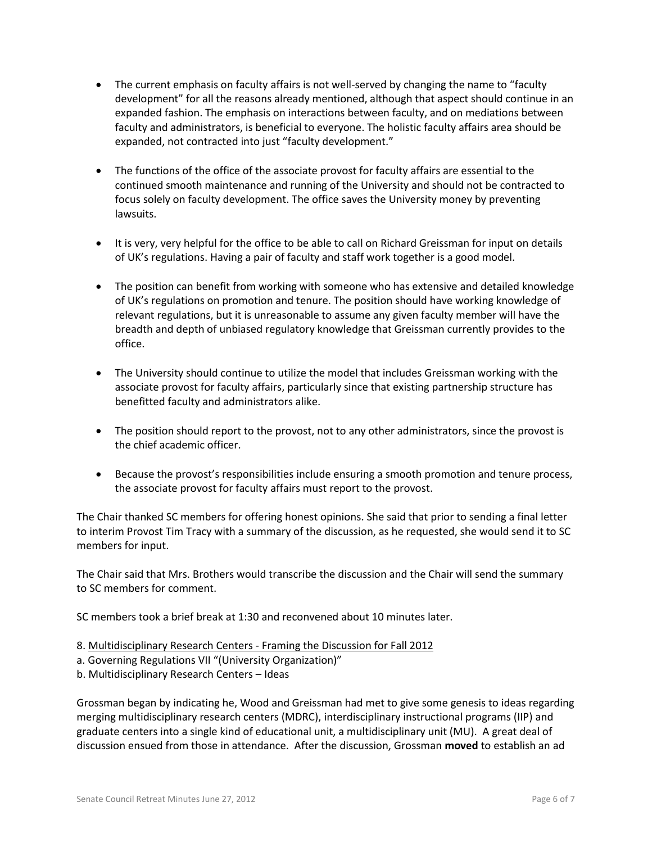- The current emphasis on faculty affairs is not well-served by changing the name to "faculty development" for all the reasons already mentioned, although that aspect should continue in an expanded fashion. The emphasis on interactions between faculty, and on mediations between faculty and administrators, is beneficial to everyone. The holistic faculty affairs area should be expanded, not contracted into just "faculty development."
- The functions of the office of the associate provost for faculty affairs are essential to the continued smooth maintenance and running of the University and should not be contracted to focus solely on faculty development. The office saves the University money by preventing lawsuits.
- It is very, very helpful for the office to be able to call on Richard Greissman for input on details of UK's regulations. Having a pair of faculty and staff work together is a good model.
- The position can benefit from working with someone who has extensive and detailed knowledge of UK's regulations on promotion and tenure. The position should have working knowledge of relevant regulations, but it is unreasonable to assume any given faculty member will have the breadth and depth of unbiased regulatory knowledge that Greissman currently provides to the office.
- The University should continue to utilize the model that includes Greissman working with the associate provost for faculty affairs, particularly since that existing partnership structure has benefitted faculty and administrators alike.
- The position should report to the provost, not to any other administrators, since the provost is the chief academic officer.
- Because the provost's responsibilities include ensuring a smooth promotion and tenure process, the associate provost for faculty affairs must report to the provost.

The Chair thanked SC members for offering honest opinions. She said that prior to sending a final letter to interim Provost Tim Tracy with a summary of the discussion, as he requested, she would send it to SC members for input.

The Chair said that Mrs. Brothers would transcribe the discussion and the Chair will send the summary to SC members for comment.

SC members took a brief break at 1:30 and reconvened about 10 minutes later.

- 8. Multidisciplinary Research Centers Framing the Discussion for Fall 2012
- a. Governing Regulations VII "(University Organization)"
- b. Multidisciplinary Research Centers Ideas

Grossman began by indicating he, Wood and Greissman had met to give some genesis to ideas regarding merging multidisciplinary research centers (MDRC), interdisciplinary instructional programs (IIP) and graduate centers into a single kind of educational unit, a multidisciplinary unit (MU). A great deal of discussion ensued from those in attendance. After the discussion, Grossman **moved** to establish an ad